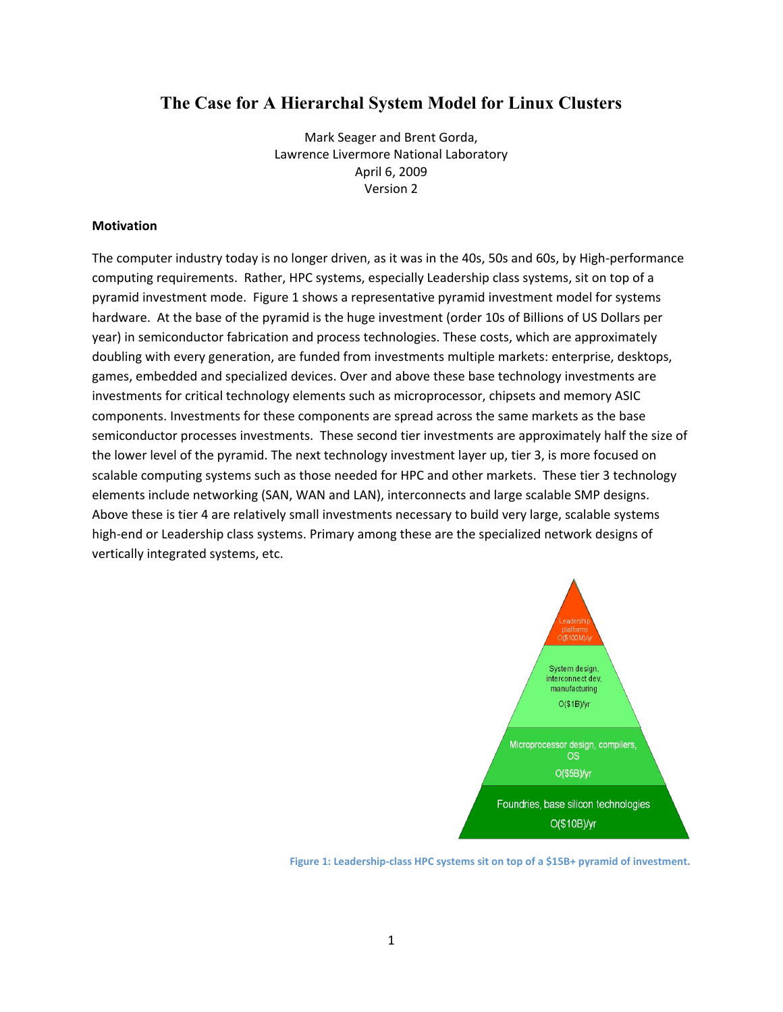# **The Case for A Hierarchal System Model for Linux Clusters**

Mark
Seager
and
Brent
Gorda, Lawrence
Livermore
National
Laboratory April
6,
2009 Version
2

#### **Motivation**

The computer industry today is no longer driven, as it was in the 40s, 50s and 60s, by High-performance computing requirements. Rather, HPC systems, especially Leadership class systems, sit on top of a pyramid
investment
mode. Figure
1
shows
a
representative
pyramid
investment
model
for
systems hardware. At the base of the pyramid is the huge investment (order 10s of Billions of US Dollars per year)
in
semiconductor
fabrication
and
process
technologies.
These
costs,
which
are
approximately doubling with every generation, are funded from investments multiple markets: enterprise, desktops, games,
embedded
and
specialized
devices.
Over
and
above
these
base
technology
investments
are investments
for
critical
technology
elements
such
as
microprocessor,
chipsets
and
memory
ASIC components. Investments for these components are spread across the same markets as the base semiconductor processes investments. These second tier investments are approximately half the size of the lower level of the pyramid. The next technology investment layer up, tier 3, is more focused on scalable computing systems such as those needed for HPC and other markets. These tier 3 technology elements
include
networking
(SAN,
WAN
and
LAN),
interconnects
and
large
scalable
SMP
designs. Above these is tier 4 are relatively small investments necessary to build very large, scalable systems high-end or Leadership class systems. Primary among these are the specialized network designs of vertically
integrated
systems,
etc.



Figure 1: Leadership-class HPC systems sit on top of a \$15B+ pyramid of investment.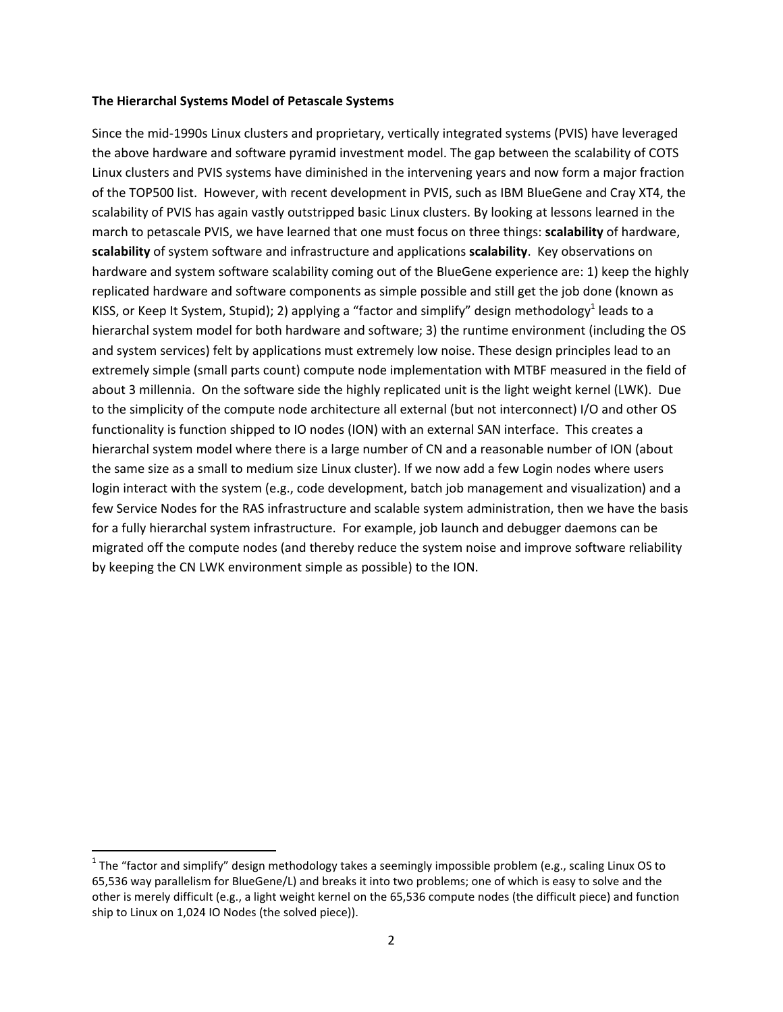#### **The
Hierarchal
Systems
Model
of
Petascale
Systems**

Since the mid-1990s Linux clusters and proprietary, vertically integrated systems (PVIS) have leveraged the
above
hardware
and
software
pyramid
investment
model.
The
gap
between
the
scalability
of
COTS Linux clusters and PVIS systems have diminished in the intervening years and now form a major fraction of
the
TOP500
list.

However,
with
recent
development
in
PVIS,
such
as
IBM
BlueGene
and
Cray
XT4,
the scalability of PVIS has again vastly outstripped basic Linux clusters. By looking at lessons learned in the march to petascale PVIS, we have learned that one must focus on three things: **scalability** of hardware, scalability of system software and infrastructure and applications scalability. Key observations on hardware and system software scalability coming out of the BlueGene experience are: 1) keep the highly replicated hardware and software components as simple possible and still get the job done (known as KISS, or Keep It System, Stupid); 2) applying a "factor and simplify" design methodology<sup>1</sup> leads to a hierarchal system model for both hardware and software; 3) the runtime environment (including the OS and system services) felt by applications must extremely low noise. These design principles lead to an extremely simple (small parts count) compute node implementation with MTBF measured in the field of about 3 millennia. On the software side the highly replicated unit is the light weight kernel (LWK). Due to the simplicity of the compute node architecture all external (but not interconnect) I/O and other OS functionality is function shipped to IO nodes (ION) with an external SAN interface. This creates a hierarchal system model where there is a large number of CN and a reasonable number of ION (about the same size as a small to medium size Linux cluster). If we now add a few Login nodes where users login interact with the system (e.g., code development, batch job management and visualization) and a few Service Nodes for the RAS infrastructure and scalable system administration, then we have the basis for
a
fully
hierarchal
system
infrastructure.

For
example,
job
launch
and
debugger
daemons
can
be migrated
off
the
compute
nodes
(and
thereby
reduce
the
system
noise
and
improve
software
reliability by keeping the CN LWK environment simple as possible) to the ION.

<sup>&</sup>lt;sup>1</sup> The "factor and simplify" design methodology takes a seemingly impossible problem (e.g., scaling Linux OS to 65,536 way parallelism for BlueGene/L) and breaks it into two problems; one of which is easy to solve and the other
is
merely
difficult
(e.g.,
a
light
weight
kernel
on
the
65,536
compute
nodes
(the
difficult
piece)
and
function ship
to
Linux
on
1,024
IO
Nodes
(the
solved
piece)).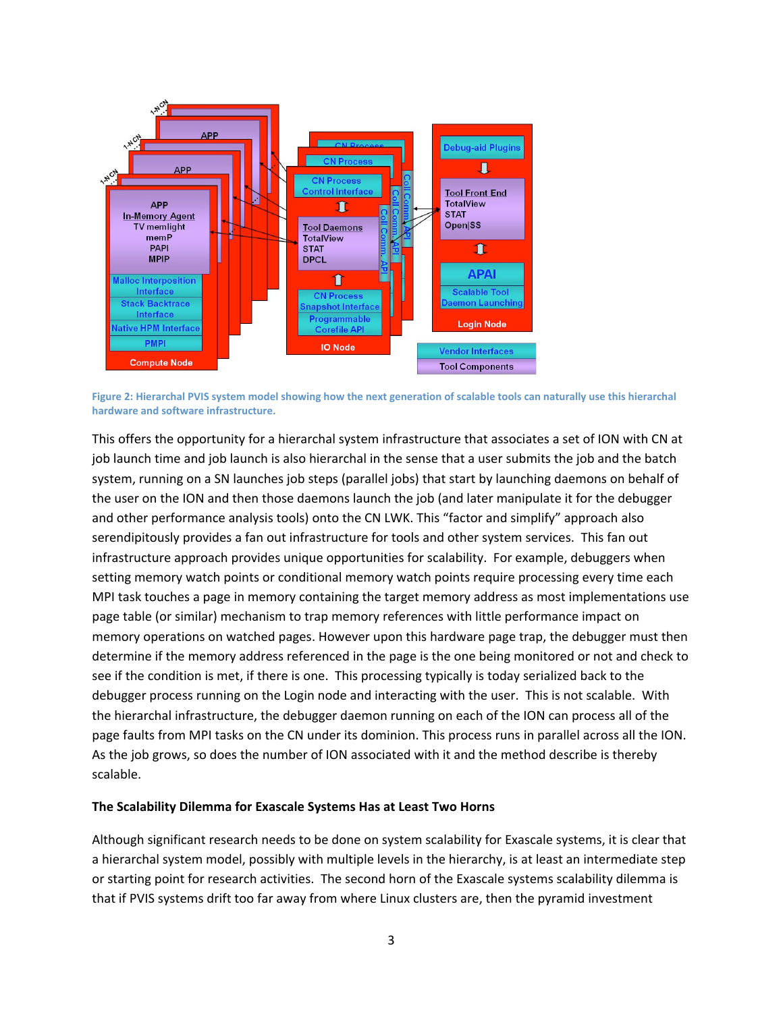

Figure 2: Hierarchal PVIS system model showing how the next generation of scalable tools can naturally use this hierarchal **hardware
and
software
infrastructure.**

This offers the opportunity for a hierarchal system infrastructure that associates a set of ION with CN at job launch time and job launch is also hierarchal in the sense that a user submits the job and the batch system, running on a SN launches job steps (parallel jobs) that start by launching daemons on behalf of the user on the ION and then those daemons launch the job (and later manipulate it for the debugger and other performance analysis tools) onto the CN LWK. This "factor and simplify" approach also serendipitously provides a fan out infrastructure for tools and other system services. This fan out infrastructure approach provides unique opportunities for scalability. For example, debuggers when setting memory watch points or conditional memory watch points require processing every time each MPI task touches a page in memory containing the target memory address as most implementations use page
table
(or
similar)
mechanism
to
trap
memory
references
with
little
performance
impact
on memory
operations
on
watched
pages.
However
upon
this
hardware
page
trap,
the
debugger
must
then determine if the memory address referenced in the page is the one being monitored or not and check to see if the condition is met, if there is one. This processing typically is today serialized back to the debugger process running on the Login node and interacting with the user. This is not scalable. With the hierarchal infrastructure, the debugger daemon running on each of the ION can process all of the page faults from MPI tasks on the CN under its dominion. This process runs in parallel across all the ION. As the job grows, so does the number of ION associated with it and the method describe is thereby scalable.

#### **The
Scalability
Dilemma
for
Exascale Systems
Has
at
Least
Two
Horns**

Although significant research needs to be done on system scalability for Exascale systems, it is clear that a hierarchal system model, possibly with multiple levels in the hierarchy, is at least an intermediate step or starting point for research activities. The second horn of the Exascale systems scalability dilemma is that if PVIS systems drift too far away from where Linux clusters are, then the pyramid investment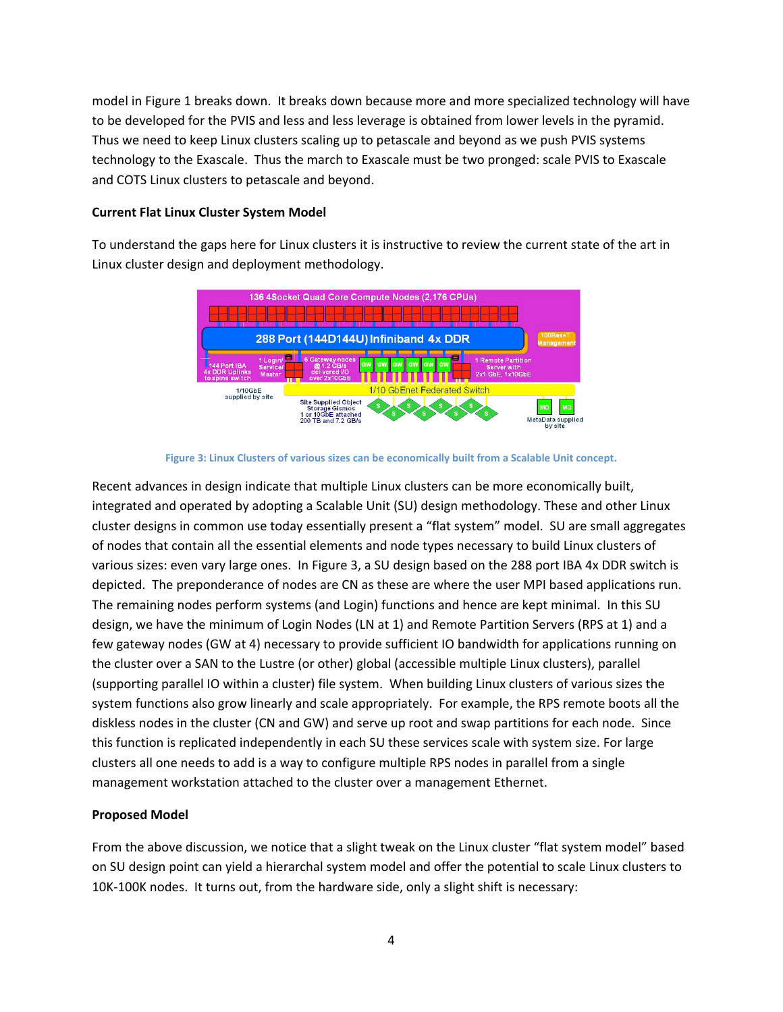model
in
Figure
1
breaks
down.

It
breaks
down
because
more
and
more
specialized
technology
will
have to be developed for the PVIS and less and less leverage is obtained from lower levels in the pyramid. Thus we need to keep Linux clusters scaling up to petascale and beyond as we push PVIS systems technology to the Exascale. Thus the march to Exascale must be two pronged: scale PVIS to Exascale and
COTS
Linux
clusters
to
petascale
and
beyond.

### **Current
Flat
Linux
Cluster
System
Model**

To understand the gaps here for Linux clusters it is instructive to review the current state of the art in Linux
cluster
design
and
deployment
methodology.





Recent advances in design indicate that multiple Linux clusters can be more economically built, integrated and operated by adopting a Scalable Unit (SU) design methodology. These and other Linux cluster
designs
in
common
use
today
essentially
present
a
"flat
system"
model.

SU
are
small
aggregates of nodes that contain all the essential elements and node types necessary to build Linux clusters of various sizes: even vary large ones. In Figure 3, a SU design based on the 288 port IBA 4x DDR switch is depicted.

The
preponderance
of
nodes
are
CN
as
these
are
where
the
user
MPI
based
applications
run. The remaining nodes perform systems (and Login) functions and hence are kept minimal. In this SU design, we have the minimum of Login Nodes (LN at 1) and Remote Partition Servers (RPS at 1) and a few gateway nodes (GW at 4) necessary to provide sufficient IO bandwidth for applications running on the cluster over a SAN to the Lustre (or other) global (accessible multiple Linux clusters), parallel (supporting parallel IO within a cluster) file system. When building Linux clusters of various sizes the system functions also grow linearly and scale appropriately. For example, the RPS remote boots all the diskless nodes in the cluster (CN and GW) and serve up root and swap partitions for each node. Since this function is replicated independently in each SU these services scale with system size. For large clusters all one needs to add is a way to configure multiple RPS nodes in parallel from a single management workstation attached to the cluster over a management Ethernet.

## **Proposed
Model**

From the above discussion, we notice that a slight tweak on the Linux cluster "flat system model" based on
SU
design
point
can
yield
a
hierarchal
system
model
and
offer
the
potential
to
scale
Linux
clusters
to 10K-100K nodes. It turns out, from the hardware side, only a slight shift is necessary: